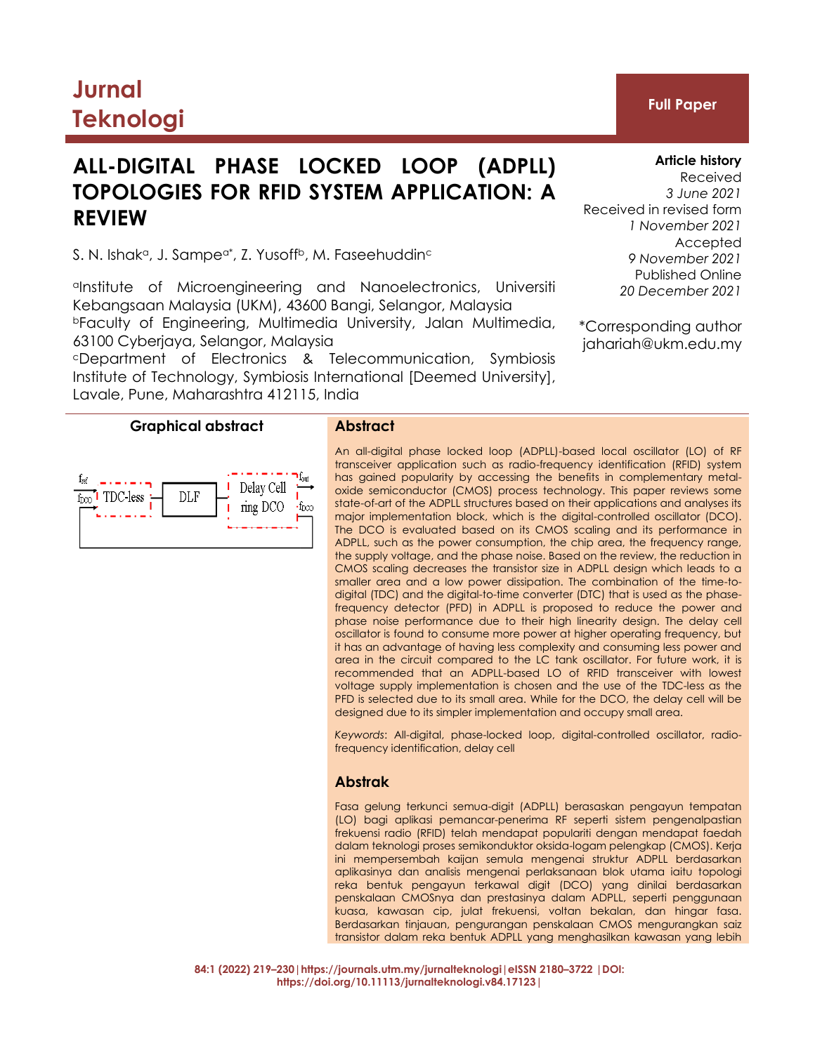# **Jurnal Teknologi Full Paper**

# **ALL-DIGITAL PHASE LOCKED LOOP (ADPLL) TOPOLOGIES FOR RFID SYSTEM APPLICATION: A REVIEW**

S. N. Ishaka, J. Sampea $^*$ , Z. Yusoffb, M. Faseehuddin $^{\circ}$ 

aInstitute of Microengineering and Nanoelectronics, Universiti Kebangsaan Malaysia (UKM), 43600 Bangi, Selangor, Malaysia <sup>b</sup>Faculty of Engineering, Multimedia University, Jalan Multimedia, 63100 Cyberjaya, Selangor, Malaysia

<sup>c</sup>Department of Electronics & Telecommunication, Symbiosis Institute of Technology, Symbiosis International [Deemed University], Lavale, Pune, Maharashtra 412115, India

# **Graphical abstract Abstract**



An all-digital phase locked loop (ADPLL)-based local oscillator (LO) of RF transceiver application such as radio-frequency identification (RFID) system has gained popularity by accessing the benefits in complementary metaloxide semiconductor (CMOS) process technology. This paper reviews some state-of-art of the ADPLL structures based on their applications and analyses its major implementation block, which is the digital-controlled oscillator (DCO). The DCO is evaluated based on its CMOS scaling and its performance in ADPLL, such as the power consumption, the chip area, the frequency range, the supply voltage, and the phase noise. Based on the review, the reduction in CMOS scaling decreases the transistor size in ADPLL design which leads to a smaller area and a low power dissipation. The combination of the time-todigital (TDC) and the digital-to-time converter (DTC) that is used as the phasefrequency detector (PFD) in ADPLL is proposed to reduce the power and phase noise performance due to their high linearity design. The delay cell oscillator is found to consume more power at higher operating frequency, but it has an advantage of having less complexity and consuming less power and area in the circuit compared to the LC tank oscillator. For future work, it is recommended that an ADPLL-based LO of RFID transceiver with lowest voltage supply implementation is chosen and the use of the TDC-less as the PFD is selected due to its small area. While for the DCO, the delay cell will be designed due to its simpler implementation and occupy small area.

*Keywords*: All-digital, phase-locked loop, digital-controlled oscillator, radiofrequency identification, delay cell

# **Abstrak**

Fasa gelung terkunci semua-digit (ADPLL) berasaskan pengayun tempatan (LO) bagi aplikasi pemancar-penerima RF seperti sistem pengenalpastian frekuensi radio (RFID) telah mendapat populariti dengan mendapat faedah dalam teknologi proses semikonduktor oksida-logam pelengkap (CMOS). Kerja ini mempersembah kaijan semula mengenai struktur ADPLL berdasarkan aplikasinya dan analisis mengenai perlaksanaan blok utama iaitu topologi reka bentuk pengayun terkawal digit (DCO) yang dinilai berdasarkan penskalaan CMOSnya dan prestasinya dalam ADPLL, seperti penggunaan kuasa, kawasan cip, julat frekuensi, voltan bekalan, dan hingar fasa. Berdasarkan tinjauan, pengurangan penskalaan CMOS mengurangkan saiz transistor dalam reka bentuk ADPLL yang menghasilkan kawasan yang lebih

**Article history**

Received *3 June 2021* Received in revised form *1 November 2021* Accepted *9 November 2021* Published Online *20 December 2021*

\*Corresponding author jahariah@ukm.edu.my

**84:1 (2022) 219–230|https://journals.utm.my/jurnalteknologi|eISSN 2180–3722 |DOI: https://doi.org/10.11113/jurnalteknologi.v84.17123|**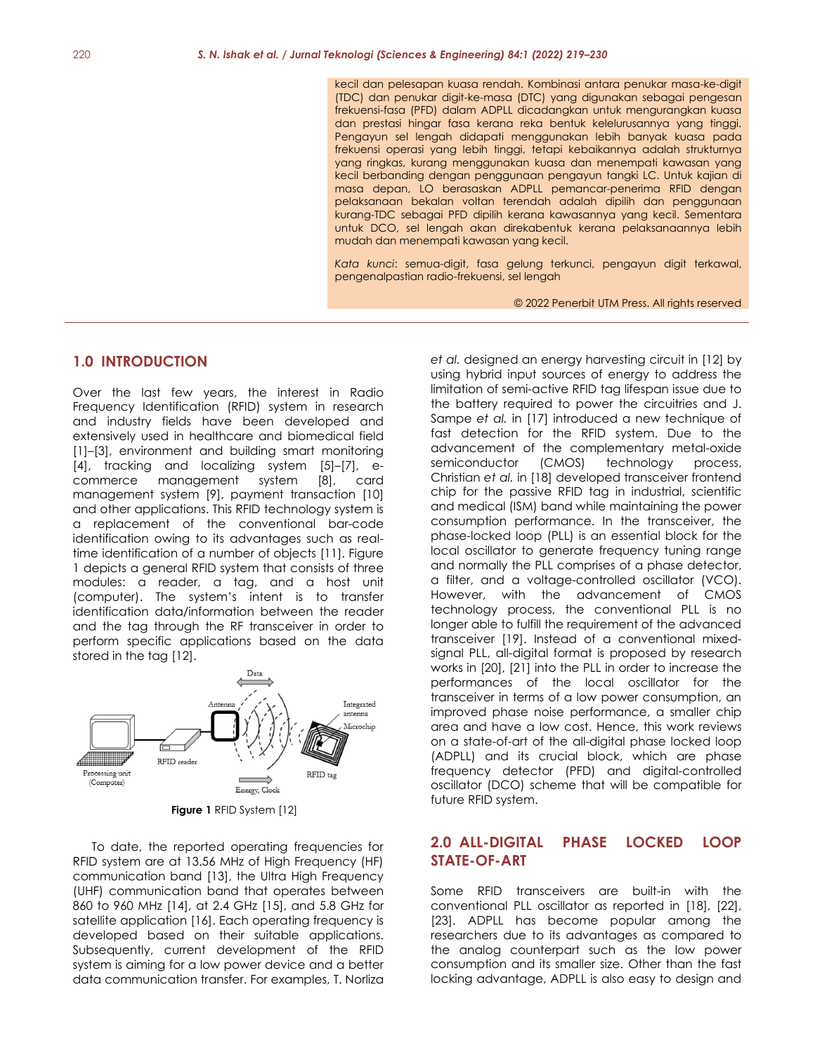kecil dan pelesapan kuasa rendah. Kombinasi antara penukar masa-ke-digit (TDC) dan penukar digit-ke-masa (DTC) yang digunakan sebagai pengesan frekuensi-fasa (PFD) dalam ADPLL dicadangkan untuk mengurangkan kuasa dan prestasi hingar fasa kerana reka bentuk kelelurusannya yang tinggi. Pengayun sel lengah didapati menggunakan lebih banyak kuasa pada frekuensi operasi yang lebih tinggi, tetapi kebaikannya adalah strukturnya yang ringkas, kurang menggunakan kuasa dan menempati kawasan yang kecil berbanding dengan penggunaan pengayun tangki LC. Untuk kajian di masa depan, LO berasaskan ADPLL pemancar-penerima RFID dengan pelaksanaan bekalan voltan terendah adalah dipilih dan penggunaan kurang-TDC sebagai PFD dipilih kerana kawasannya yang kecil. Sementara untuk DCO, sel lengah akan direkabentuk kerana pelaksanaannya lebih mudah dan menempati kawasan yang kecil.

*Kata kunci*: semua-digit, fasa gelung terkunci, pengayun digit terkawal, pengenalpastian radio-frekuensi, sel lengah

© 2022 Penerbit UTM Press. All rights reserved

### **1.0 INTRODUCTION**

Over the last few years, the interest in Radio Frequency Identification (RFID) system in research and industry fields have been developed and extensively used in healthcare and biomedical field [1]–[3], environment and building smart monitoring [4], tracking and localizing system [5]–[7], ecommerce management system [8], card management system [9], payment transaction [10] and other applications. This RFID technology system is a replacement of the conventional bar-code identification owing to its advantages such as realtime identification of a number of objects [11]. Figure 1 depicts a general RFID system that consists of three modules: a reader, a tag, and a host unit (computer). The system's intent is to transfer identification data/information between the reader and the tag through the RF transceiver in order to perform specific applications based on the data stored in the tag [12].



**Figure 1** RFID System [12]

To date, the reported operating frequencies for RFID system are at 13.56 MHz of High Frequency (HF) communication band [13], the Ultra High Frequency (UHF) communication band that operates between 860 to 960 MHz [14], at 2.4 GHz [15], and 5.8 GHz for satellite application [16]. Each operating frequency is developed based on their suitable applications. Subsequently, current development of the RFID system is aiming for a low power device and a better data communication transfer. For examples, T. Norliza

*et al.* designed an energy harvesting circuit in [12] by using hybrid input sources of energy to address the limitation of semi-active RFID tag lifespan issue due to the battery required to power the circuitries and J. Sampe *et al.* in [17] introduced a new technique of fast detection for the RFID system. Due to the advancement of the complementary metal-oxide semiconductor (CMOS) technology process, Christian *et al.* in [18] developed transceiver frontend chip for the passive RFID tag in industrial, scientific and medical (ISM) band while maintaining the power consumption performance. In the transceiver, the phase-locked loop (PLL) is an essential block for the local oscillator to generate frequency tuning range and normally the PLL comprises of a phase detector, a filter, and a voltage-controlled oscillator (VCO). However, with the advancement of CMOS technology process, the conventional PLL is no longer able to fulfill the requirement of the advanced transceiver [19]. Instead of a conventional mixedsignal PLL, all-digital format is proposed by research works in [20], [21] into the PLL in order to increase the performances of the local oscillator for the transceiver in terms of a low power consumption, an improved phase noise performance, a smaller chip area and have a low cost. Hence, this work reviews on a state-of-art of the all-digital phase locked loop (ADPLL) and its crucial block, which are phase frequency detector (PFD) and digital-controlled oscillator (DCO) scheme that will be compatible for future RFID system.

## **2.0 ALL-DIGITAL PHASE LOCKED LOOP STATE-OF-ART**

Some RFID transceivers are built-in with the conventional PLL oscillator as reported in [18], [22], [23]. ADPLL has become popular among the researchers due to its advantages as compared to the analog counterpart such as the low power consumption and its smaller size. Other than the fast locking advantage, ADPLL is also easy to design and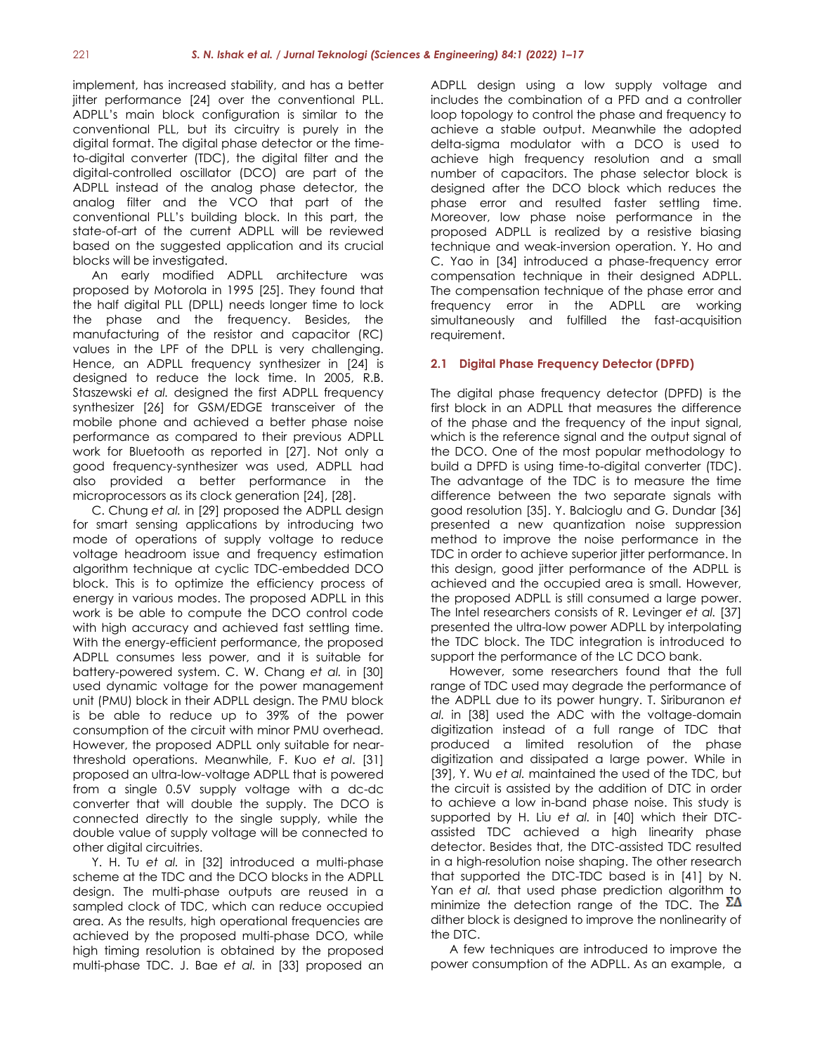implement, has increased stability, and has a better jitter performance [24] over the conventional PLL. ADPLL's main block configuration is similar to the conventional PLL, but its circuitry is purely in the digital format. The digital phase detector or the timeto-digital converter (TDC), the digital filter and the digital-controlled oscillator (DCO) are part of the ADPLL instead of the analog phase detector, the analog filter and the VCO that part of the conventional PLL's building block. In this part, the state-of-art of the current ADPLL will be reviewed based on the suggested application and its crucial blocks will be investigated.

An early modified ADPLL architecture was proposed by Motorola in 1995 [25]. They found that the half digital PLL (DPLL) needs longer time to lock the phase and the frequency. Besides, the manufacturing of the resistor and capacitor (RC) values in the LPF of the DPLL is very challenging. Hence, an ADPLL frequency synthesizer in [24] is designed to reduce the lock time. In 2005, R.B. Staszewski *et al.* designed the first ADPLL frequency synthesizer [26] for GSM/EDGE transceiver of the mobile phone and achieved a better phase noise performance as compared to their previous ADPLL work for Bluetooth as reported in [27]. Not only a good frequency-synthesizer was used, ADPLL had also provided a better performance in the microprocessors as its clock generation [24], [28].

C. Chung *et al.* in [29] proposed the ADPLL design for smart sensing applications by introducing two mode of operations of supply voltage to reduce voltage headroom issue and frequency estimation algorithm technique at cyclic TDC-embedded DCO block. This is to optimize the efficiency process of energy in various modes. The proposed ADPLL in this work is be able to compute the DCO control code with high accuracy and achieved fast settling time. With the energy-efficient performance, the proposed ADPLL consumes less power, and it is suitable for battery-powered system. C. W. Chang *et al.* in [30] used dynamic voltage for the power management unit (PMU) block in their ADPLL design. The PMU block is be able to reduce up to 39% of the power consumption of the circuit with minor PMU overhead. However, the proposed ADPLL only suitable for nearthreshold operations. Meanwhile, F. Kuo *et al*. [31] proposed an ultra-low-voltage ADPLL that is powered from a single 0.5V supply voltage with a dc-dc converter that will double the supply. The DCO is connected directly to the single supply, while the double value of supply voltage will be connected to other digital circuitries.

Y. H. Tu *et al.* in [32] introduced a multi-phase scheme at the TDC and the DCO blocks in the ADPLL design. The multi-phase outputs are reused in a sampled clock of TDC, which can reduce occupied area. As the results, high operational frequencies are achieved by the proposed multi-phase DCO, while high timing resolution is obtained by the proposed multi-phase TDC. J. Bae *et al.* in [33] proposed an ADPLL design using a low supply voltage and includes the combination of a PFD and a controller loop topology to control the phase and frequency to achieve a stable output. Meanwhile the adopted delta-sigma modulator with a DCO is used to achieve high frequency resolution and a small number of capacitors. The phase selector block is designed after the DCO block which reduces the phase error and resulted faster settling time. Moreover, low phase noise performance in the proposed ADPLL is realized by a resistive biasing technique and weak-inversion operation. Y. Ho and C. Yao in [34] introduced a phase-frequency error compensation technique in their designed ADPLL. The compensation technique of the phase error and frequency error in the ADPLL are working simultaneously and fulfilled the fast-acquisition requirement.

#### **2.1 Digital Phase Frequency Detector (DPFD)**

The digital phase frequency detector (DPFD) is the first block in an ADPLL that measures the difference of the phase and the frequency of the input signal, which is the reference signal and the output signal of the DCO. One of the most popular methodology to build a DPFD is using time-to-digital converter (TDC). The advantage of the TDC is to measure the time difference between the two separate signals with good resolution [35]. Y. Balcioglu and G. Dundar [36] presented a new quantization noise suppression method to improve the noise performance in the TDC in order to achieve superior jitter performance. In this design, good jitter performance of the ADPLL is achieved and the occupied area is small. However, the proposed ADPLL is still consumed a large power. The Intel researchers consists of R. Levinger *et al.* [37] presented the ultra-low power ADPLL by interpolating the TDC block. The TDC integration is introduced to support the performance of the LC DCO bank.

However, some researchers found that the full range of TDC used may degrade the performance of the ADPLL due to its power hungry. T. Siriburanon *et al.* in [38] used the ADC with the voltage-domain digitization instead of a full range of TDC that produced a limited resolution of the phase digitization and dissipated a large power. While in [39], Y. Wu *et al.* maintained the used of the TDC, but the circuit is assisted by the addition of DTC in order to achieve a low in-band phase noise. This study is supported by H. Liu *et al.* in [40] which their DTCassisted TDC achieved a high linearity phase detector. Besides that, the DTC-assisted TDC resulted in a high-resolution noise shaping. The other research that supported the DTC-TDC based is in [41] by N. Yan *et al.* that used phase prediction algorithm to minimize the detection range of the TDC. The  $\Sigma\Delta$ dither block is designed to improve the nonlinearity of the DTC.

A few techniques are introduced to improve the power consumption of the ADPLL. As an example, a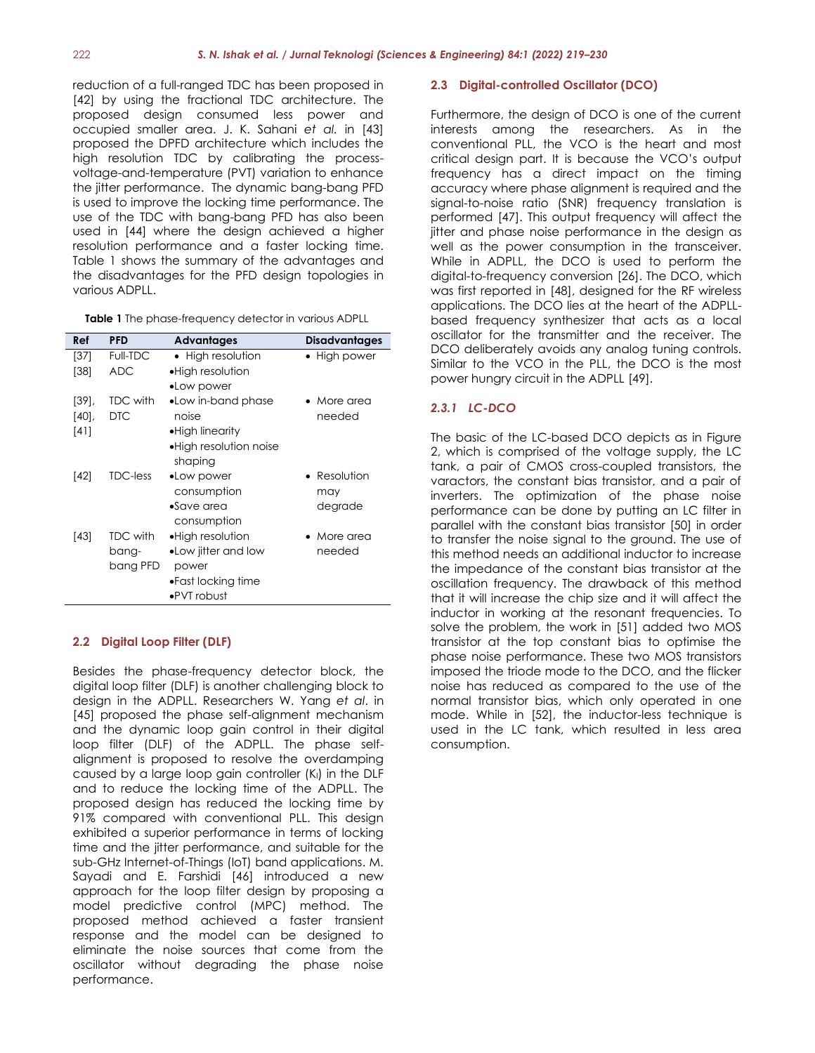reduction of a full-ranged TDC has been proposed in [42] by using the fractional TDC architecture. The proposed design consumed less power and occupied smaller area. J. K. Sahani *et al.* in [43] proposed the DPFD architecture which includes the high resolution TDC by calibrating the processvoltage-and-temperature (PVT) variation to enhance the jitter performance. The dynamic bang-bang PFD is used to improve the locking time performance. The use of the TDC with bang-bang PFD has also been used in [44] where the design achieved a higher resolution performance and a faster locking time. Table 1 shows the summary of the advantages and the disadvantages for the PFD design topologies in various ADPLL.

| Ref      | <b>PFD</b>      | <b>Advantages</b>       | Disadvantages |
|----------|-----------------|-------------------------|---------------|
| [37]     | Full-TDC        | • High resolution       | • High power  |
| [38]     | <b>ADC</b>      | • High resolution       |               |
|          |                 | •Low power              |               |
| $[39]$ , | <b>TDC with</b> | •Low in-band phase      | • More area   |
| [40]     | <b>DTC</b>      | noise                   | needed        |
| $[4]$    |                 | •High linearity         |               |
|          |                 | • High resolution noise |               |
|          |                 | shaping                 |               |
| [42]     | <b>TDC-less</b> | •Low power              | • Resolution  |
|          |                 | consumption             | may           |
|          |                 | $\bullet$ Save area     | degrade       |
|          |                 | consumption             |               |
| $[43]$   | <b>TDC with</b> | • High resolution       | • More area   |
|          | bang-           | •Low jitter and low     | needed        |
|          | bang PFD        | power                   |               |
|          |                 | •Fast locking time      |               |
|          |                 | •PVT robust             |               |

## **2.2 Digital Loop Filter (DLF)**

Besides the phase-frequency detector block, the digital loop filter (DLF) is another challenging block to design in the ADPLL. Researchers W. Yang *et al*. in [45] proposed the phase self-alignment mechanism and the dynamic loop gain control in their digital loop filter (DLF) of the ADPLL. The phase selfalignment is proposed to resolve the overdamping caused by a large loop gain controller (K<sub>I</sub>) in the DLF and to reduce the locking time of the ADPLL. The proposed design has reduced the locking time by 91% compared with conventional PLL. This design exhibited a superior performance in terms of locking time and the jitter performance, and suitable for the sub-GHz Internet-of-Things (IoT) band applications. M. Sayadi and E. Farshidi [46] introduced a new approach for the loop filter design by proposing a model predictive control (MPC) method. The proposed method achieved a faster transient response and the model can be designed to eliminate the noise sources that come from the oscillator without degrading the phase noise performance.

#### **2.3 Digital-controlled Oscillator (DCO)**

Furthermore, the design of DCO is one of the current interests among the researchers. As in the conventional PLL, the VCO is the heart and most critical design part. It is because the VCO's output frequency has a direct impact on the timing accuracy where phase alignment is required and the signal-to-noise ratio (SNR) frequency translation is performed [47]. This output frequency will affect the jitter and phase noise performance in the design as well as the power consumption in the transceiver. While in ADPLL, the DCO is used to perform the digital-to-frequency conversion [26]. The DCO, which was first reported in [48], designed for the RF wireless applications. The DCO lies at the heart of the ADPLLbased frequency synthesizer that acts as a local oscillator for the transmitter and the receiver. The DCO deliberately avoids any analog tuning controls. Similar to the VCO in the PLL, the DCO is the most power hungry circuit in the ADPLL [49].

### *2.3.1 LC-DCO*

The basic of the LC-based DCO depicts as in Figure 2, which is comprised of the voltage supply, the LC tank, a pair of CMOS cross-coupled transistors, the varactors, the constant bias transistor, and a pair of inverters. The optimization of the phase noise performance can be done by putting an LC filter in parallel with the constant bias transistor [50] in order to transfer the noise signal to the ground. The use of this method needs an additional inductor to increase the impedance of the constant bias transistor at the oscillation frequency. The drawback of this method that it will increase the chip size and it will affect the inductor in working at the resonant frequencies. To solve the problem, the work in [51] added two MOS transistor at the top constant bias to optimise the phase noise performance. These two MOS transistors imposed the triode mode to the DCO, and the flicker noise has reduced as compared to the use of the normal transistor bias, which only operated in one mode. While in [52], the inductor-less technique is used in the LC tank, which resulted in less area consumption.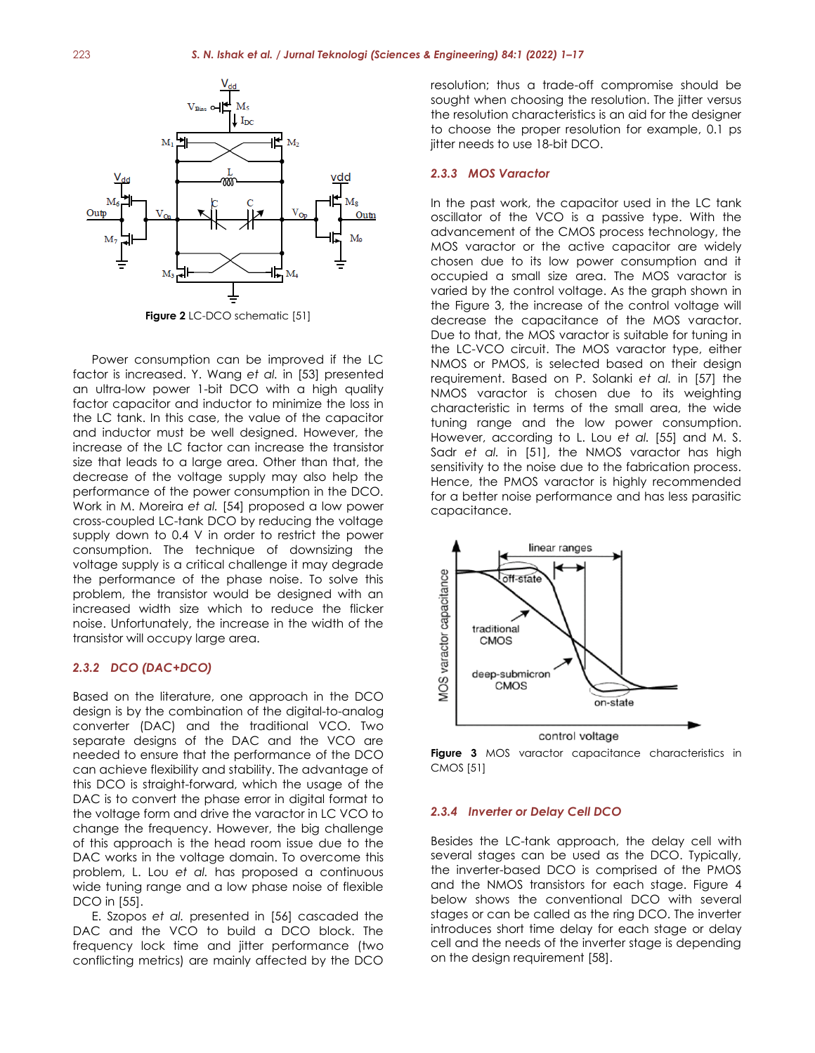

Power consumption can be improved if the LC factor is increased. Y. Wang *et al.* in [53] presented an ultra-low power 1-bit DCO with a high quality factor capacitor and inductor to minimize the loss in the LC tank. In this case, the value of the capacitor and inductor must be well designed. However, the increase of the LC factor can increase the transistor size that leads to a large area. Other than that, the decrease of the voltage supply may also help the performance of the power consumption in the DCO. Work in M. Moreira *et al.* [54] proposed a low power cross-coupled LC-tank DCO by reducing the voltage supply down to 0.4 V in order to restrict the power consumption. The technique of downsizing the voltage supply is a critical challenge it may degrade the performance of the phase noise. To solve this problem, the transistor would be designed with an increased width size which to reduce the flicker noise. Unfortunately, the increase in the width of the transistor will occupy large area.

#### *2.3.2 DCO (DAC+DCO)*

Based on the literature, one approach in the DCO design is by the combination of the digital-to-analog converter (DAC) and the traditional VCO. Two separate designs of the DAC and the VCO are needed to ensure that the performance of the DCO can achieve flexibility and stability. The advantage of this DCO is straight-forward, which the usage of the DAC is to convert the phase error in digital format to the voltage form and drive the varactor in LC VCO to change the frequency. However, the big challenge of this approach is the head room issue due to the DAC works in the voltage domain. To overcome this problem, L. Lou *et al.* has proposed a continuous wide tuning range and a low phase noise of flexible DCO in [55].

E. Szopos *et al.* presented in [56] cascaded the DAC and the VCO to build a DCO block. The frequency lock time and jitter performance (two conflicting metrics) are mainly affected by the DCO resolution; thus a trade-off compromise should be sought when choosing the resolution. The jitter versus the resolution characteristics is an aid for the designer to choose the proper resolution for example, 0.1 ps jitter needs to use 18-bit DCO.

#### *2.3.3 MOS Varactor*

In the past work, the capacitor used in the LC tank oscillator of the VCO is a passive type. With the advancement of the CMOS process technology, the MOS varactor or the active capacitor are widely chosen due to its low power consumption and it occupied a small size area. The MOS varactor is varied by the control voltage. As the graph shown in the Figure 3, the increase of the control voltage will decrease the capacitance of the MOS varactor. Due to that, the MOS varactor is suitable for tuning in the LC-VCO circuit. The MOS varactor type, either NMOS or PMOS, is selected based on their design requirement. Based on P. Solanki *et al.* in [57] the NMOS varactor is chosen due to its weighting characteristic in terms of the small area, the wide tuning range and the low power consumption. However, according to L. Lou *et al.* [55] and M. S. Sadr *et al.* in [51], the NMOS varactor has high sensitivity to the noise due to the fabrication process. Hence, the PMOS varactor is highly recommended for a better noise performance and has less parasitic capacitance.



**Figure 3** MOS varactor capacitance characteristics in CMOS [51]

#### *2.3.4 Inverter or Delay Cell DCO*

Besides the LC-tank approach, the delay cell with several stages can be used as the DCO. Typically, the inverter-based DCO is comprised of the PMOS and the NMOS transistors for each stage. Figure 4 below shows the conventional DCO with several stages or can be called as the ring DCO. The inverter introduces short time delay for each stage or delay cell and the needs of the inverter stage is depending on the design requirement [58].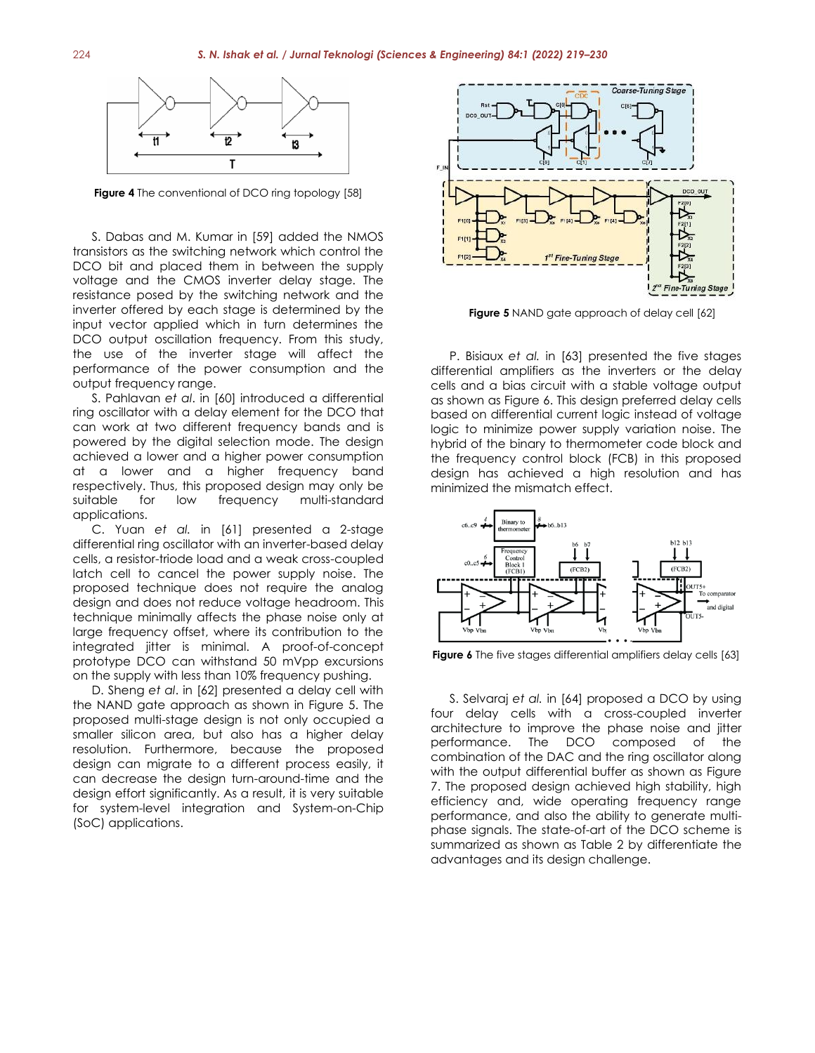

**Figure 4** The conventional of DCO ring topology [58]

S. Dabas and M. Kumar in [59] added the NMOS transistors as the switching network which control the DCO bit and placed them in between the supply voltage and the CMOS inverter delay stage. The resistance posed by the switching network and the inverter offered by each stage is determined by the input vector applied which in turn determines the DCO output oscillation frequency. From this study, the use of the inverter stage will affect the performance of the power consumption and the output frequency range.

S. Pahlavan *et al*. in [60] introduced a differential ring oscillator with a delay element for the DCO that can work at two different frequency bands and is powered by the digital selection mode. The design achieved a lower and a higher power consumption at a lower and a higher frequency band respectively. Thus, this proposed design may only be suitable for low frequency multi-standard applications.

C. Yuan *et al.* in [61] presented a 2-stage differential ring oscillator with an inverter-based delay cells, a resistor-triode load and a weak cross-coupled latch cell to cancel the power supply noise. The proposed technique does not require the analog design and does not reduce voltage headroom. This technique minimally affects the phase noise only at large frequency offset, where its contribution to the integrated jitter is minimal. A proof-of-concept prototype DCO can withstand 50 mVpp excursions on the supply with less than 10% frequency pushing.

D. Sheng *et al*. in [62] presented a delay cell with the NAND gate approach as shown in Figure 5. The proposed multi-stage design is not only occupied a smaller silicon area, but also has a higher delay resolution. Furthermore, because the proposed design can migrate to a different process easily, it can decrease the design turn-around-time and the design effort significantly. As a result, it is very suitable for system-level integration and System-on-Chip (SoC) applications.



**Figure 5** NAND gate approach of delay cell [62]

P. Bisiaux *et al.* in [63] presented the five stages differential amplifiers as the inverters or the delay cells and a bias circuit with a stable voltage output as shown as Figure 6. This design preferred delay cells based on differential current logic instead of voltage logic to minimize power supply variation noise. The hybrid of the binary to thermometer code block and the frequency control block (FCB) in this proposed design has achieved a high resolution and has minimized the mismatch effect.



**Figure 6** The five stages differential amplifiers delay cells [63]

S. Selvaraj *et al.* in [64] proposed a DCO by using four delay cells with a cross-coupled inverter architecture to improve the phase noise and jitter performance. The DCO composed of the combination of the DAC and the ring oscillator along with the output differential buffer as shown as Figure 7. The proposed design achieved high stability, high efficiency and, wide operating frequency range performance, and also the ability to generate multiphase signals. The state-of-art of the DCO scheme is summarized as shown as Table 2 by differentiate the advantages and its design challenge.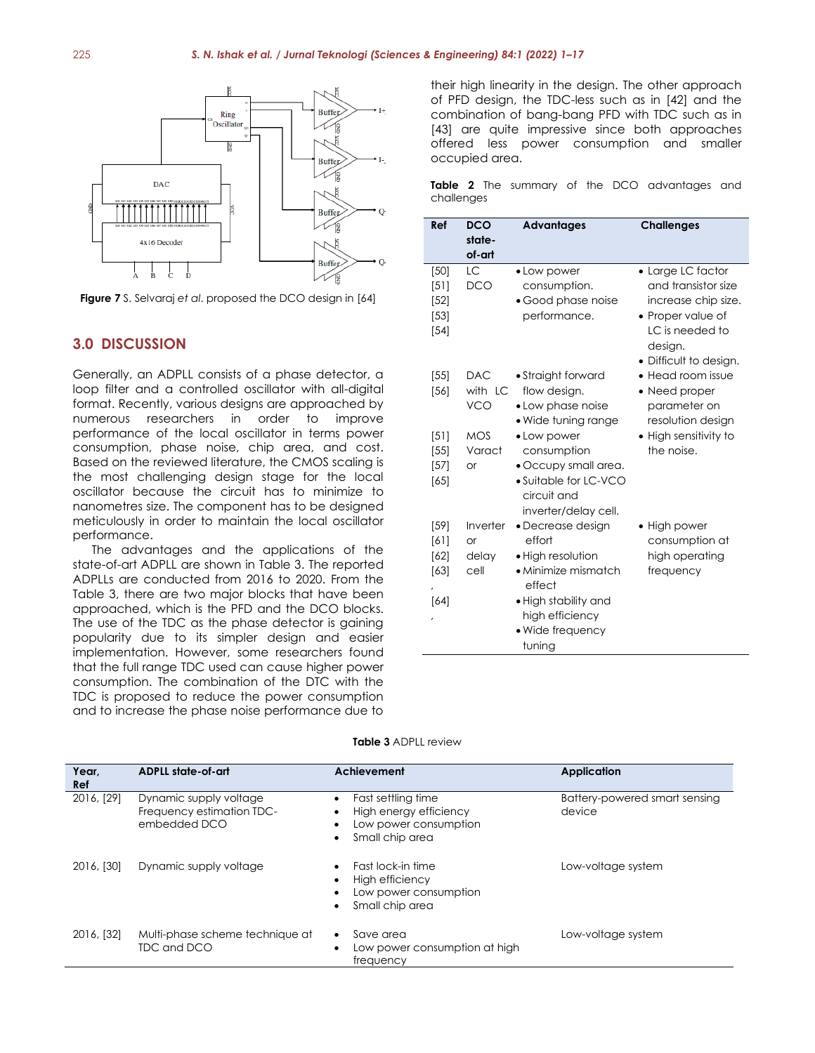

**Figure 7** S. Selvaraj *et al*. proposed the DCO design in [64]

# **3.0 DISCUSSION**

Generally, an ADPLL consists of a phase detector, a loop filter and a controlled oscillator with all-digital format. Recently, various designs are approached by numerous researchers in order to improve performance of the local oscillator in terms power consumption, phase noise, chip area, and cost. Based on the reviewed literature, the CMOS scaling is the most challenging design stage for the local oscillator because the circuit has to minimize to nanometres size. The component has to be designed meticulously in order to maintain the local oscillator performance.

The advantages and the applications of the state-of-art ADPLL are shown in Table 3. The reported ADPLLs are conducted from 2016 to 2020. From the Table 3, there are two major blocks that have been approached, which is the PFD and the DCO blocks. The use of the TDC as the phase detector is gaining popularity due to its simpler design and easier implementation. However, some researchers found that the full range TDC used can cause higher power consumption. The combination of the DTC with the TDC is proposed to reduce the power consumption and to increase the phase noise performance due to

their high linearity in the design. The other approach of PFD design, the TDC-less such as in [42] and the combination of bang-bang PFD with TDC such as in [43] are quite impressive since both approaches offered less power consumption and smaller occupied area.

**Table 2** The summary of the DCO advantages and challenges

| Ref                                       | <b>DCO</b><br>state-<br>of-art         | <b>Advantages</b>                                                                                                                                                  | <b>Challenges</b>                                                                                                                            |
|-------------------------------------------|----------------------------------------|--------------------------------------------------------------------------------------------------------------------------------------------------------------------|----------------------------------------------------------------------------------------------------------------------------------------------|
| [50]<br>[5]<br>$[52]$<br>$[53]$<br>$[54]$ | LC<br><b>DCO</b>                       | • Low power<br>consumption.<br>• Good phase noise<br>performance.                                                                                                  | • Large LC factor<br>and transistor size<br>increase chip size.<br>• Proper value of<br>LC is needed to<br>design.<br>• Difficult to design. |
| [55]<br>[56]                              | <b>DAC</b><br>with LC<br><b>VCO</b>    | • Straight forward<br>flow design.<br>• Low phase noise<br>• Wide tuning range                                                                                     | • Head room issue<br>• Need proper<br>parameter on<br>resolution design                                                                      |
| [5]<br>[55]<br>$[57]$<br>[65]             | <b>MOS</b><br>Varact<br><b>or</b>      | • Low power<br>consumption<br>• Occupy small area.<br>• Suitable for LC-VCO<br>circuit and<br>inverter/delay cell.                                                 | • High sensitivity to<br>the noise.                                                                                                          |
| [59]<br>[6]<br>[62]<br>[63]<br>[64]       | Inverter<br><b>or</b><br>delay<br>cell | • Decrease design<br>effort<br>• High resolution<br>$\bullet$ Minimize mismatch<br>effect<br>• High stability and<br>high efficiency<br>• Wide frequency<br>tuning | • High power<br>consumption at<br>high operating<br>frequency                                                                                |

| <b>Table 3 ADPLL review</b> |  |
|-----------------------------|--|
|                             |  |

| ADPLL state-of-art<br>Year,<br><b>Ref</b> |                                                                     | Achievement                                                                                                                  | <b>Application</b>                      |  |
|-------------------------------------------|---------------------------------------------------------------------|------------------------------------------------------------------------------------------------------------------------------|-----------------------------------------|--|
| 2016, [29]                                | Dynamic supply voltage<br>Frequency estimation TDC-<br>embedded DCO | Fast settling time<br>$\bullet$<br>High energy efficiency<br>٠<br>Low power consumption<br>٠<br>Small chip area<br>$\bullet$ | Battery-powered smart sensing<br>device |  |
| 2016, [30]                                | Dynamic supply voltage                                              | Fast lock-in time<br>$\bullet$<br>High efficiency<br>٠<br>Low power consumption<br>Small chip area<br>$\bullet$              | Low-voltage system                      |  |
| 2016, [32]                                | Multi-phase scheme technique at<br>TDC and DCO                      | Save area<br>$\bullet$<br>Low power consumption at high<br>$\bullet$<br>frequency                                            | Low-voltage system                      |  |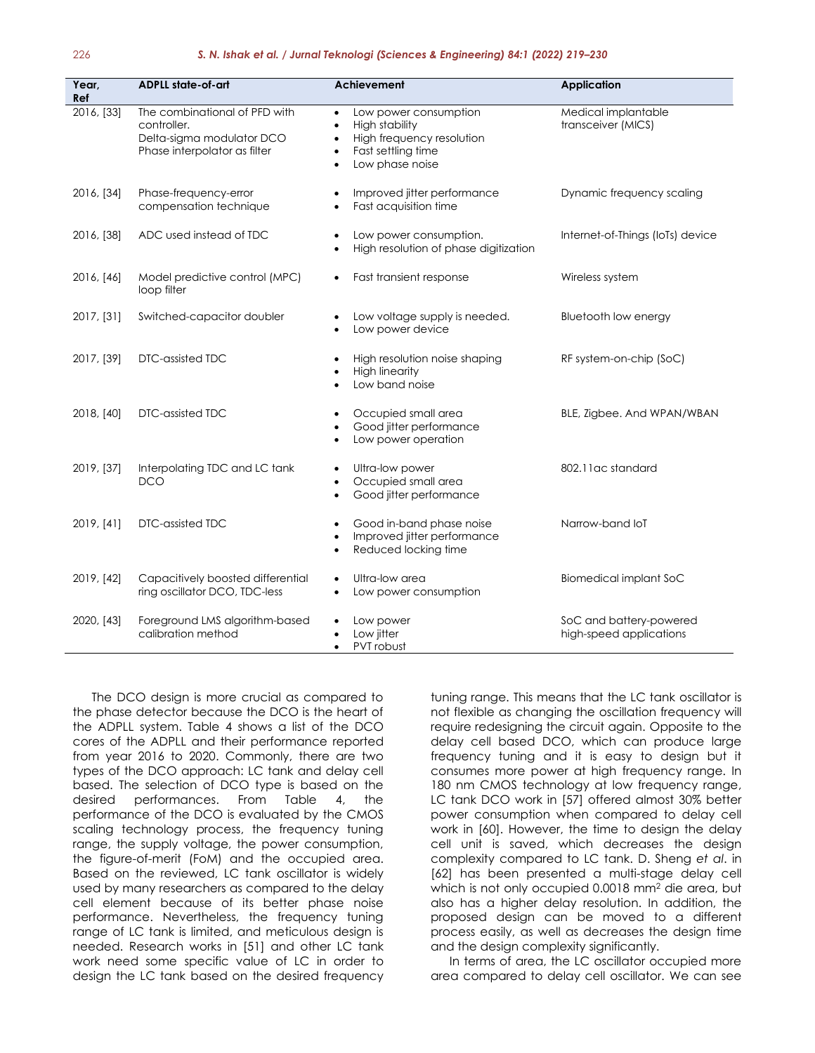| Year,<br>Ref | <b>ADPLL state-of-art</b>                                                                                 | <b>Achievement</b>                                                                                                                                                            | <b>Application</b>                                 |  |
|--------------|-----------------------------------------------------------------------------------------------------------|-------------------------------------------------------------------------------------------------------------------------------------------------------------------------------|----------------------------------------------------|--|
| 2016, [33]   | The combinational of PFD with<br>controller.<br>Delta-sigma modulator DCO<br>Phase interpolator as filter | Low power consumption<br>$\bullet$<br><b>High stability</b><br>$\bullet$<br>High frequency resolution<br>$\bullet$<br>Fast settling time<br>٠<br>Low phase noise<br>$\bullet$ | Medical implantable<br>transceiver (MICS)          |  |
| 2016, [34]   | Phase-frequency-error<br>compensation technique                                                           | Improved jitter performance<br>$\bullet$<br>Fast acquisition time                                                                                                             | Dynamic frequency scaling                          |  |
| 2016, [38]   | ADC used instead of TDC                                                                                   | Low power consumption.<br>$\bullet$<br>High resolution of phase digitization<br>$\bullet$                                                                                     | Internet-of-Things (IoTs) device                   |  |
| 2016, [46]   | Model predictive control (MPC)<br>loop filter                                                             | Fast transient response<br>٠                                                                                                                                                  | Wireless system                                    |  |
| 2017, [31]   | Switched-capacitor doubler                                                                                | Low voltage supply is needed.<br>Low power device                                                                                                                             | Bluetooth low energy                               |  |
| 2017, [39]   | DTC-assisted TDC                                                                                          | High resolution noise shaping<br><b>High linearity</b><br>Low band noise                                                                                                      | RF system-on-chip (SoC)                            |  |
| 2018, [40]   | DTC-assisted TDC                                                                                          | Occupied small area<br>Good jitter performance<br>٠<br>Low power operation<br>٠                                                                                               | BLE, Zigbee. And WPAN/WBAN                         |  |
| 2019, [37]   | Interpolating TDC and LC tank<br><b>DCO</b>                                                               | Ultra-low power<br>٠<br>Occupied small area<br>٠<br>Good jitter performance<br>$\bullet$                                                                                      | 802.11 ac standard                                 |  |
| 2019, [41]   | DTC-assisted TDC                                                                                          | Good in-band phase noise<br>Improved jitter performance<br>Reduced locking time<br>٠                                                                                          | Narrow-band loT                                    |  |
| 2019, [42]   | Capacitively boosted differential<br>ring oscillator DCO, TDC-less                                        | Ultra-low area<br>Low power consumption                                                                                                                                       | <b>Biomedical implant SoC</b>                      |  |
| 2020, [43]   | Foreground LMS algorithm-based<br>calibration method                                                      | Low power<br>Low jitter<br>PVT robust<br>$\bullet$                                                                                                                            | SoC and battery-powered<br>high-speed applications |  |

The DCO design is more crucial as compared to the phase detector because the DCO is the heart of the ADPLL system. Table 4 shows a list of the DCO cores of the ADPLL and their performance reported from year 2016 to 2020. Commonly, there are two types of the DCO approach: LC tank and delay cell based. The selection of DCO type is based on the desired performances. From Table 4, the performance of the DCO is evaluated by the CMOS scaling technology process, the frequency tuning range, the supply voltage, the power consumption, the figure-of-merit (FoM) and the occupied area. Based on the reviewed, LC tank oscillator is widely used by many researchers as compared to the delay cell element because of its better phase noise performance. Nevertheless, the frequency tuning range of LC tank is limited, and meticulous design is needed. Research works in [51] and other LC tank work need some specific value of LC in order to design the LC tank based on the desired frequency

tuning range. This means that the LC tank oscillator is not flexible as changing the oscillation frequency will require redesigning the circuit again. Opposite to the delay cell based DCO, which can produce large frequency tuning and it is easy to design but it consumes more power at high frequency range. In 180 nm CMOS technology at low frequency range, LC tank DCO work in [57] offered almost 30% better power consumption when compared to delay cell work in [60]. However, the time to design the delay cell unit is saved, which decreases the design complexity compared to LC tank. D. Sheng *et al*. in [62] has been presented a multi-stage delay cell which is not only occupied 0.0018 mm<sup>2</sup> die area, but also has a higher delay resolution. In addition, the proposed design can be moved to a different process easily, as well as decreases the design time and the design complexity significantly.

In terms of area, the LC oscillator occupied more area compared to delay cell oscillator. We can see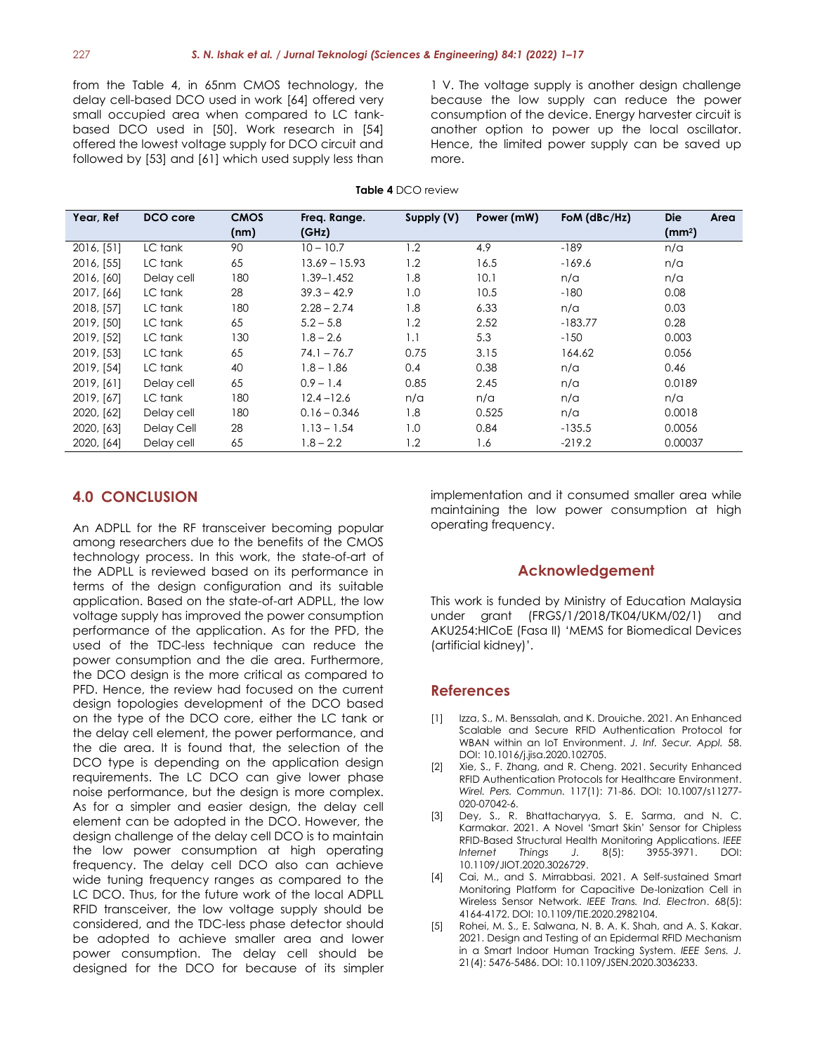from the Table 4, in 65nm CMOS technology, the delay cell-based DCO used in work [64] offered very small occupied area when compared to LC tankbased DCO used in [50]. Work research in [54] offered the lowest voltage supply for DCO circuit and followed by [53] and [61] which used supply less than

1 V. The voltage supply is another design challenge because the low supply can reduce the power consumption of the device. Energy harvester circuit is another option to power up the local oscillator. Hence, the limited power supply can be saved up more.

|  | <b>Table 4</b> DCO review |  |
|--|---------------------------|--|
|--|---------------------------|--|

| Year, Ref  | DCO core   | <b>CMOS</b> | Freg. Range.   | Supply (V) | Power (mW) | FoM $(dBc/Hz)$ | <b>Die</b><br>Area |
|------------|------------|-------------|----------------|------------|------------|----------------|--------------------|
|            |            | (nm)        | (GHz)          |            |            |                | (mm <sup>2</sup> ) |
| 2016, [51] | LC tank    | 90          | $10 - 10.7$    | 1.2        | 4.9        | $-189$         | n/a                |
| 2016, [55] | LC tank    | 65          | 13.69 – 15.93  | 1.2        | 16.5       | $-169.6$       | n/a                |
| 2016, [60] | Delay cell | 180         | 1.39–1.452     | 1.8        | 10.1       | n/a            | n/a                |
| 2017, [66] | LC tank    | 28          | $39.3 - 42.9$  | 1.0        | 10.5       | $-180$         | 0.08               |
| 2018, [57] | LC tank    | 180         | $2.28 - 2.74$  | 1.8        | 6.33       | n/a            | 0.03               |
| 2019, [50] | LC tank    | 65          | $5.2 - 5.8$    | 1.2        | 2.52       | $-183.77$      | 0.28               |
| 2019, [52] | LC tank    | 130         | $1.8 - 2.6$    | 1.1        | 5.3        | $-150$         | 0.003              |
| 2019, [53] | LC tank    | 65          | $74.1 - 76.7$  | 0.75       | 3.15       | 164.62         | 0.056              |
| 2019, [54] | LC tank    | 40          | $1.8 - 1.86$   | 0.4        | 0.38       | n/a            | 0.46               |
| 2019, [61] | Delay cell | 65          | $0.9 - 1.4$    | 0.85       | 2.45       | n/a            | 0.0189             |
| 2019, [67] | LC tank    | 180         | $12.4 - 12.6$  | n/a        | n/a        | n/a            | n/a                |
| 2020, [62] | Delay cell | 180         | $0.16 - 0.346$ | 1.8        | 0.525      | n/a            | 0.0018             |
| 2020, [63] | Delay Cell | 28          | $1.13 - 1.54$  | 1.0        | 0.84       | $-135.5$       | 0.0056             |
| 2020, [64] | Delay cell | 65          | $1.8 - 2.2$    | 1.2        | 1.6        | $-219.2$       | 0.00037            |

# **4.0 CONCLUSION**

An ADPLL for the RF transceiver becoming popular among researchers due to the benefits of the CMOS technology process. In this work, the state-of-art of the ADPLL is reviewed based on its performance in terms of the design configuration and its suitable application. Based on the state-of-art ADPLL, the low voltage supply has improved the power consumption performance of the application. As for the PFD, the used of the TDC-less technique can reduce the power consumption and the die area. Furthermore, the DCO design is the more critical as compared to PFD. Hence, the review had focused on the current design topologies development of the DCO based on the type of the DCO core, either the LC tank or the delay cell element, the power performance, and the die area. It is found that, the selection of the DCO type is depending on the application design requirements. The LC DCO can give lower phase noise performance, but the design is more complex. As for a simpler and easier design, the delay cell element can be adopted in the DCO. However, the design challenge of the delay cell DCO is to maintain the low power consumption at high operating frequency. The delay cell DCO also can achieve wide tuning frequency ranges as compared to the LC DCO. Thus, for the future work of the local ADPLL RFID transceiver, the low voltage supply should be considered, and the TDC-less phase detector should be adopted to achieve smaller area and lower power consumption. The delay cell should be designed for the DCO for because of its simpler

implementation and it consumed smaller area while maintaining the low power consumption at high operating frequency.

# **Acknowledgement**

This work is funded by Ministry of Education Malaysia under grant (FRGS/1/2018/TK04/UKM/02/1) and AKU254:HICoE (Fasa II) 'MEMS for Biomedical Devices (artificial kidney)'.

# **References**

- [1] Izza, S., M. Benssalah, and K. Drouiche. 2021. An Enhanced Scalable and Secure RFID Authentication Protocol for WBAN within an IoT Environment. *J. Inf. Secur. Appl.* 58. DOI: 10.1016/j.jisa.2020.102705.
- [2] Xie, S., F. Zhang, and R. Cheng. 2021. Security Enhanced RFID Authentication Protocols for Healthcare Environment. *Wirel. Pers. Commun.* 117(1): 71-86. DOI: 10.1007/s11277- 020-07042-6.
- [3] Dey, S., R. Bhattacharyya, S. E. Sarma, and N. C. Karmakar. 2021. A Novel 'Smart Skin' Sensor for Chipless RFID-Based Structural Health Monitoring Applications. *IEEE Internet Things J.* 8(5): 3955-3971. DOI: 10.1109/JIOT.2020.3026729.
- [4] Cai, M., and S. Mirrabbasi. 2021. A Self-sustained Smart Monitoring Platform for Capacitive De-Ionization Cell in Wireless Sensor Network. *IEEE Trans. Ind. Electron*. 68(5): 4164-4172. DOI: 10.1109/TIE.2020.2982104.
- [5] Rohei, M. S., E. Salwana, N. B. A. K. Shah, and A. S. Kakar. 2021. Design and Testing of an Epidermal RFID Mechanism in a Smart Indoor Human Tracking System. *IEEE Sens. J.* 21(4): 5476-5486. DOI: 10.1109/JSEN.2020.3036233.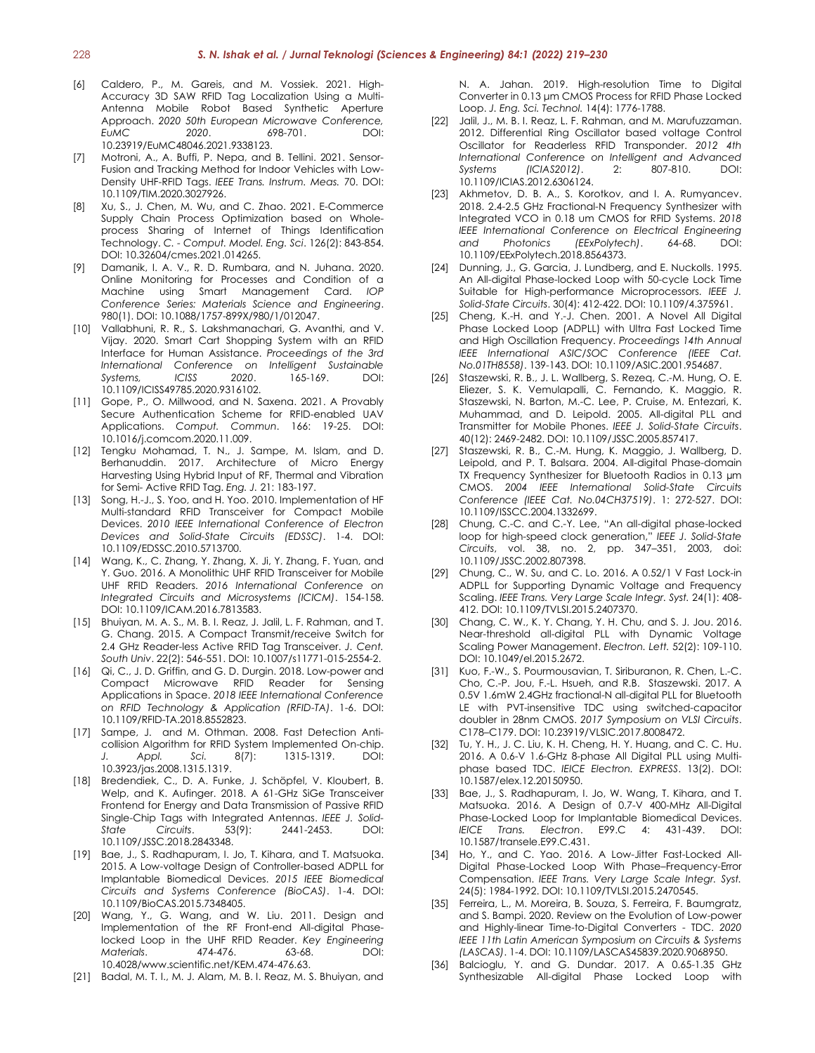- [6] Caldero, P., M. Gareis, and M. Vossiek. 2021. High-Accuracy 3D SAW RFID Tag Localization Using a Multi-Antenna Mobile Robot Based Synthetic Aperture Approach. *2020 50th European Microwave Conference, EuMC 2020*. 698-701. DOI: 10.23919/EuMC48046.2021.9338123.
- [7] Motroni, A., A. Buffi, P. Nepa, and B. Tellini. 2021. Sensor-Fusion and Tracking Method for Indoor Vehicles with Low-Density UHF-RFID Tags. *IEEE Trans. Instrum. Meas.* 70. DOI: 10.1109/TIM.2020.3027926.
- [8] Xu, S., J. Chen, M. Wu, and C. Zhao. 2021. E-Commerce Supply Chain Process Optimization based on Wholeprocess Sharing of Internet of Things Identification Technology. *C. - Comput. Model. Eng. Sci*. 126(2): 843-854. DOI: 10.32604/cmes.2021.014265.
- [9] Damanik, I. A. V., R. D. Rumbara, and N. Juhana. 2020. Online Monitoring for Processes and Condition of a Machine using Smart Management Card. *IOP Conference Series: Materials Science and Engineering*. 980(1). DOI: 10.1088/1757-899X/980/1/012047.
- [10] Vallabhuni, R. R., S. Lakshmanachari, G. Avanthi, and V. Vijay. 2020. Smart Cart Shopping System with an RFID Interface for Human Assistance. *Proceedings of the 3rd International Conference on Intelligent Sustainable Systems, ICISS 2020*. 165-169. DOI: 10.1109/ICISS49785.2020.9316102.
- [11] Gope, P., O. Millwood, and N. Saxena. 2021. A Provably Secure Authentication Scheme for RFID-enabled UAV Applications. *Comput. Commun*. 166: 19-25. DOI: 10.1016/j.comcom.2020.11.009.
- [12] Tengku Mohamad, T. N., J. Sampe, M. Islam, and D. Berhanuddin. 2017. Architecture of Micro Energy Harvesting Using Hybrid Input of RF, Thermal and Vibration for Semi- Active RFID Tag. *Eng. J.* 21: 183-197.
- [13] Song, H.-J., S. Yoo, and H. Yoo. 2010. Implementation of HF Multi-standard RFID Transceiver for Compact Mobile Devices. *2010 IEEE International Conference of Electron Devices and Solid-State Circuits (EDSSC)*. 1-4. DOI: 10.1109/EDSSC.2010.5713700.
- [14] [Wang,](https://ieeexplore-ieee-org.ezplib.ukm.my/author/37086057301) K., C. [Zhang,](https://ieeexplore-ieee-org.ezplib.ukm.my/author/37085454324) Y. [Zhang,](https://ieeexplore-ieee-org.ezplib.ukm.my/author/37086033597) [X.](https://ieeexplore-ieee-org.ezplib.ukm.my/author/37086031608) Ji, Y. [Zhang,](https://ieeexplore-ieee-org.ezplib.ukm.my/author/37086033609) F. [Yuan,](https://ieeexplore-ieee-org.ezplib.ukm.my/author/37086036253) and Y. [Guo.](https://ieeexplore-ieee-org.ezplib.ukm.my/author/37085467083) 2016. A Monolithic UHF RFID Transceiver for Mobile UHF RFID Readers. *2016 International Conference on Integrated Circuits and Microsystems (ICICM)*. 154-158. DOI: 10.1109/ICAM.2016.7813583.
- [15] Bhuiyan, M. A. S., M. B. I. Reaz, J. Jalil, L. F. Rahman, and T. G. Chang. 2015. A Compact Transmit/receive Switch for 2.4 GHz Reader-less Active RFID Tag Transceiver. *J. Cent. South Univ*. 22(2): 546-551. DOI: 10.1007/s11771-015-2554-2.
- [16] Qi, C., J. D. Griffin, and G. D. Durgin. 2018. Low-power and Compact Microwave RFID Reader for Sensing Applications in Space. *2018 IEEE International Conference on RFID Technology & Application (RFID-TA)*. 1-6. DOI: 10.1109/RFID-TA.2018.8552823.
- [17] Sampe, J. and M. Othman. 2008. Fast Detection Anticollision Algorithm for RFID System Implemented On-chip. *J. Appl. Sci.* 8(7): 1315-1319. DOI: 10.3923/jas.2008.1315.1319.
- [18] Bredendiek, C., D. A. Funke, J. Schöpfel, V. Kloubert, B. Welp, and K. Aufinger. 2018. A 61-GHz SiGe Transceiver Frontend for Energy and Data Transmission of Passive RFID Single-Chip Tags with Integrated Antennas. *IEEE J. Solid-State Circuits*. 53(9): 2441-2453. DOI: 10.1109/JSSC.2018.2843348.
- [19] Bae, J., S. Radhapuram, I. Jo, T. Kihara, and T. Matsuoka. 2015. A Low-voltage Design of Controller-based ADPLL for Implantable Biomedical Devices. *2015 IEEE Biomedical Circuits and Systems Conference (BioCAS)*. 1-4. DOI: 10.1109/BioCAS.2015.7348405.
- [20] Wang, Y., G. Wang, and W. Liu. 2011. Design and Implementation of the RF Front-end All-digital Phaselocked Loop in the UHF RFID Reader. *Key Engineering Materials*. 474-476. 63-68. DOI: 10.4028/www.scientific.net/KEM.474-476.63.
- [21] Badal, M. T. I., M. J. Alam, M. B. I. Reaz, M. S. Bhuiyan, and

N. A. Jahan. 2019. High-resolution Time to Digital Converter in 0.13 μm CMOS Process for RFID Phase Locked Loop. *J. Eng. Sci. Technol.* 14(4): 1776-1788.

- [22] Jalil, J., M. B. I. Reaz, L. F. Rahman, and M. Marufuzzaman. 2012. Differential Ring Oscillator based voltage Control Oscillator for Readerless RFID Transponder. *2012 4th International Conference on Intelligent and Advanced Systems (ICIAS2012)*. 2: 807-810. DOI: 10.1109/ICIAS.2012.6306124.
- [23] Akhmetov, D. B. A., S. Korotkov, and I. A. Rumyancev. 2018. 2.4-2.5 GHz Fractional-N Frequency Synthesizer with Integrated VCO in 0.18 um CMOS for RFID Systems. *2018 IEEE International Conference on Electrical Engineering and Photonics (EExPolytech)*. 64-68. DOI: 10.1109/EExPolytech.2018.8564373.
- [24] Dunning, J., G. Garcia, J. Lundberg, and E. Nuckolls. 1995. An All-digital Phase-locked Loop with 50-cycle Lock Time Suitable for High-performance Microprocessors. *IEEE J. Solid-State Circuits*. 30(4): 412-422. DOI: 10.1109/4.375961.
- [25] Cheng, K.-H. and Y.-J. Chen. 2001. A Novel All Digital Phase Locked Loop (ADPLL) with Ultra Fast Locked Time and High Oscillation Frequency. *Proceedings 14th Annual IEEE International ASIC/SOC Conference (IEEE Cat. No.01TH8558)*. 139-143. DOI: 10.1109/ASIC.2001.954687.
- [26] [Staszewski,](https://ieeexplore-ieee-org.ezplib.ukm.my/author/37275680800) R. B., J. [L. Wallberg,](https://ieeexplore-ieee-org.ezplib.ukm.my/author/37275665300) [S. Rezeq,](https://ieeexplore-ieee-org.ezplib.ukm.my/author/37393183200) [C.-M.](https://ieeexplore-ieee-org.ezplib.ukm.my/author/37275672100) Hung[, O.](https://ieeexplore-ieee-org.ezplib.ukm.my/author/37275567800) E. [Eliezer,](https://ieeexplore-ieee-org.ezplib.ukm.my/author/37275567800) S. [K. Vemulapalli,](https://ieeexplore-ieee-org.ezplib.ukm.my/author/37326084600) [C. Fernando,](https://ieeexplore-ieee-org.ezplib.ukm.my/author/37275663300) [K. Maggio,](https://ieeexplore-ieee-org.ezplib.ukm.my/author/37275662100) [R.](https://ieeexplore-ieee-org.ezplib.ukm.my/author/37275680900)  [Staszewski,](https://ieeexplore-ieee-org.ezplib.ukm.my/author/37275680900) [N. Barton,](https://ieeexplore-ieee-org.ezplib.ukm.my/author/37284019700) [M.-C.](https://ieeexplore-ieee-org.ezplib.ukm.my/author/37279705300) Lee, [P. Cruise,](https://ieeexplore-ieee-org.ezplib.ukm.my/author/37295962400) [M. Entezari,](https://ieeexplore-ieee-org.ezplib.ukm.my/author/37294634300) [K.](https://ieeexplore-ieee-org.ezplib.ukm.my/author/37275679000)  [Muhammad,](https://ieeexplore-ieee-org.ezplib.ukm.my/author/37275679000) and [D. Leipold.](https://ieeexplore-ieee-org.ezplib.ukm.my/author/37275675400) 2005. All-digital PLL and Transmitter for Mobile Phones. *IEEE J. Solid-State Circuits*. 40(12): 2469-2482. DOI: 10.1109/JSSC.2005.857417.
- [27] Staszewski, R. B., C.-M. Hung, K. Maggio, J. Wallberg, D. Leipold, and P. T. Balsara. 2004. All-digital Phase-domain TX Frequency Synthesizer for Bluetooth Radios in 0.13 µm CMOS. *2004 IEEE International Solid-State Circuits Conference (IEEE Cat. No.04CH37519)*. 1: 272-527. DOI: 10.1109/ISSCC.2004.1332699.
- [28] Chung, C.-C. and C.-Y. Lee, "An all-digital phase-locked loop for high-speed clock generation," *IEEE J. Solid-State Circuits*, vol. 38, no. 2, pp. 347–351, 2003, doi: 10.1109/JSSC.2002.807398.
- [29] Chung, C., W. Su, and C. Lo. 2016. A 0.52/1 V Fast Lock-in ADPLL for Supporting Dynamic Voltage and Frequency Scaling. *IEEE Trans. Very Large Scale Integr. Syst.* 24(1): 408- 412. DOI: 10.1109/TVLSI.2015.2407370.
- [30] Chang, C. W., K. Y. Chang, Y. H. Chu, and S. J. Jou. 2016. Near-threshold all-digital PLL with Dynamic Voltage Scaling Power Management. *Electron. Lett.* 52(2): 109-110. DOI: 10.1049/el.2015.2672.
- [31] [Kuo,](https://ieeexplore-ieee-org.ezplib.ukm.my/author/38577745600) F.-W., S. [Pourmousavian,](https://ieeexplore-ieee-org.ezplib.ukm.my/author/37086196905) [T. Siriburanon,](https://ieeexplore-ieee-org.ezplib.ukm.my/author/37973770300) R. [Chen,](https://ieeexplore-ieee-org.ezplib.ukm.my/author/38023318900) [L.-C.](https://ieeexplore-ieee-org.ezplib.ukm.my/author/37301947400) [Cho,](https://ieeexplore-ieee-org.ezplib.ukm.my/author/37301947400) [C.-P.](https://ieeexplore-ieee-org.ezplib.ukm.my/author/37394977400) Jou, F.-L. [Hsueh,](https://ieeexplore-ieee-org.ezplib.ukm.my/author/37355868900) and [R.B. Staszewski.](https://ieeexplore-ieee-org.ezplib.ukm.my/author/37085446052) 2017. A 0.5V 1.6mW 2.4GHz fractional-N all-digital PLL for Bluetooth LE with PVT-insensitive TDC using switched-capacitor doubler in 28nm CMOS. *2017 Symposium on VLSI Circuits*. C178–C179. DOI: 10.23919/VLSIC.2017.8008472.
- [32] Tu, Y. H., J. C. Liu, K. H. Cheng, H. Y. Huang, and C. C. Hu. 2016. A 0.6-V 1.6-GHz 8-phase All Digital PLL using Multiphase based TDC. *IEICE Electron. EXPRESS*. 13(2). DOI: 10.1587/elex.12.20150950.
- [33] Bae, J., S. Radhapuram, I. Jo, W. Wang, T. Kihara, and T. Matsuoka. 2016. A Design of 0.7-V 400-MHz All-Digital Phase-Locked Loop for Implantable Biomedical Devices. *IEICE Trans. Electron*. E99.C 4: 431-439. DOI: 10.1587/transele.E99.C.431.
- [34] Ho, Y., and C. Yao. 2016. A Low-Jitter Fast-Locked All-Digital Phase-Locked Loop With Phase–Frequency-Error Compensation. *IEEE Trans. Very Large Scale Integr. Syst.* 24(5): 1984-1992. DOI: 10.1109/TVLSI.2015.2470545.
- [35] Ferreira, L., M. Moreira, B. Souza, S. Ferreira, F. Baumgratz, and S. Bampi. 2020. Review on the Evolution of Low-power and Highly-linear Time-to-Digital Converters - TDC. *2020 IEEE 11th Latin American Symposium on Circuits & Systems (LASCAS)*. 1-4. DOI: 10.1109/LASCAS45839.2020.9068950.
- [36] Balcioglu, Y. and G. Dundar. 2017. A 0.65-1.35 GHz Synthesizable All-digital Phase Locked Loop with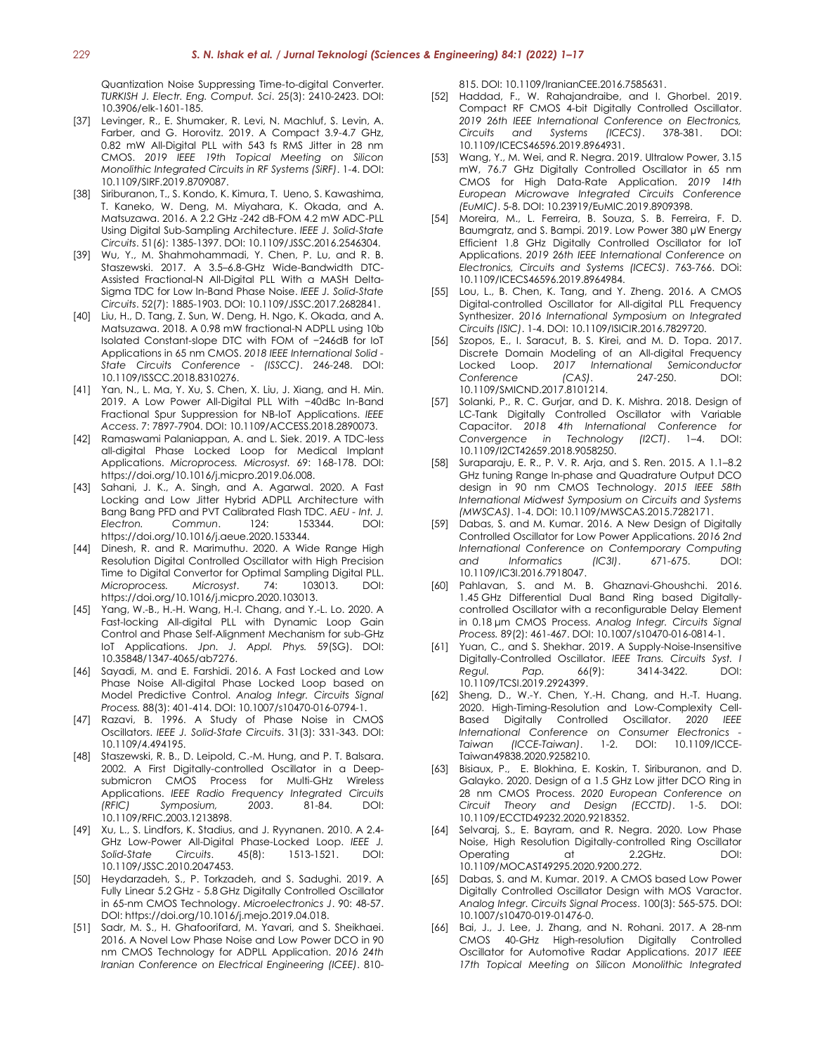Quantization Noise Suppressing Time-to-digital Converter. *TURKISH J. Electr. Eng. Comput. Sci*. 25(3): 2410-2423. DOI: 10.3906/elk-1601-185.

- [37] [Levinger,](https://ieeexplore-ieee-org.ezplib.ukm.my/author/37085530731) R., [E. Shumaker,](https://ieeexplore-ieee-org.ezplib.ukm.my/author/37085346071) [R. Levi,](https://ieeexplore-ieee-org.ezplib.ukm.my/author/37086520352) [N. Machluf,](https://ieeexplore-ieee-org.ezplib.ukm.my/author/37086830312) [S. Levin,](https://ieeexplore-ieee-org.ezplib.ukm.my/author/37086522089) [A.](https://ieeexplore-ieee-org.ezplib.ukm.my/author/37086833606)  [Farber,](https://ieeexplore-ieee-org.ezplib.ukm.my/author/37086833606) and [G. Horovitz.](https://ieeexplore-ieee-org.ezplib.ukm.my/author/37564610300) 2019. A Compact 3.9-4.7 GHz, 0.82 mW All-Digital PLL with 543 fs RMS Jitter in 28 nm CMOS. *2019 IEEE 19th Topical Meeting on Silicon Monolithic Integrated Circuits in RF Systems (SiRF)*. 1-4. DOI: 10.1109/SIRF.2019.8709087.
- [38] [Siriburanon,](https://ieeexplore-ieee-org.ezplib.ukm.my/author/37973770300) T., S. [Kondo,](https://ieeexplore-ieee-org.ezplib.ukm.my/author/37085383785) K. [Kimura,](https://ieeexplore-ieee-org.ezplib.ukm.my/author/37085365770) [T. Ueno,](https://ieeexplore-ieee-org.ezplib.ukm.my/author/37085398190) S. [Kawashima,](https://ieeexplore-ieee-org.ezplib.ukm.my/author/37088712693) T. [Kaneko,](https://ieeexplore-ieee-org.ezplib.ukm.my/author/37085810668) W. [Deng,](https://ieeexplore-ieee-org.ezplib.ukm.my/author/37714500300) M. [Miyahara,](https://ieeexplore-ieee-org.ezplib.ukm.my/author/37407974100) K. [Okada,](https://ieeexplore-ieee-org.ezplib.ukm.my/author/37086700552) and [A.](https://ieeexplore-ieee-org.ezplib.ukm.my/author/37280639100) [Matsuzawa.](https://ieeexplore-ieee-org.ezplib.ukm.my/author/37280639100) 2016. A 2.2 GHz -242 dB-FOM 4.2 mW ADC-PLL Using Digital Sub-Sampling Architecture. *IEEE J. Solid-State Circuits*. 51(6): 1385-1397. DOI: 10.1109/JSSC.2016.2546304.
- [39] Wu, Y., M. Shahmohammadi, Y. Chen, P. Lu, and R. B. Staszewski. 2017. A 3.5–6.8-GHz Wide-Bandwidth DTC-Assisted Fractional-N All-Digital PLL With a MASH Delta-Sigma TDC for Low In-Band Phase Noise. *IEEE J. Solid-State Circuits*. 52(7): 1885-1903. DOI: 10.1109/JSSC.2017.2682841.
- [40] Liu, H., D. Tang, Z. Sun, W. Deng, H. Ngo, K. Okada, and A. Matsuzawa. 2018. A 0.98 mW fractional-N ADPLL using 10b Isolated Constant-slope DTC with FOM of −246dB for IoT Applications in 65 nm CMOS. *2018 IEEE International Solid - State Circuits Conference - (ISSCC)*. 246-248. DOI: 10.1109/ISSCC.2018.8310276.
- [41] Yan, N., L. Ma, Y. Xu, S. Chen, X. Liu, J. Xiang, and H. Min. 2019. A Low Power All-Digital PLL With −40dBc In-Band Fractional Spur Suppression for NB-IoT Applications. *IEEE Access*. 7: 7897-7904. DOI: 10.1109/ACCESS.2018.2890073.
- [42] Ramaswami Palaniappan, A. and L. Siek. 2019. A TDC-less all-digital Phase Locked Loop for Medical Implant Applications. *Microprocess. Microsyst.* 69: 168-178. DOI: https://doi.org/10.1016/j.micpro.2019.06.008.
- [43] Sahani, J. K., A. Singh, and A. Agarwal. 2020. A Fast Locking and Low Jitter Hybrid ADPLL Architecture with Bang Bang PFD and PVT Calibrated Flash TDC. *AEU - Int. J. Electron. Commun*. 124: 153344. DOI: https://doi.org/10.1016/j.aeue.2020.153344.
- [44] Dinesh, R. and R. Marimuthu. 2020. A Wide Range High Resolution Digital Controlled Oscillator with High Precision Time to Digital Convertor for Optimal Sampling Digital PLL. *Microprocess. Microsyst*. 74: 103013. DOI: https://doi.org/10.1016/j.micpro.2020.103013.
- [45] Yang, W.-B., H.-H. Wang, H.-I. Chang, and Y.-L. Lo. 2020. A Fast-locking All-digital PLL with Dynamic Loop Gain Control and Phase Self-Alignment Mechanism for sub-GHz IoT Applications. *Jpn. J. Appl. Phys.* 59(SG). DOI: 10.35848/1347-4065/ab7276.
- [46] Sayadi, M. and E. Farshidi. 2016. A Fast Locked and Low Phase Noise All-digital Phase Locked Loop based on Model Predictive Control. *Analog Integr. Circuits Signal Process.* 88(3): 401-414. DOI: 10.1007/s10470-016-0794-1.
- [47] Razavi, B. 1996. A Study of Phase Noise in CMOS Oscillators. *IEEE J. Solid-State Circuits*. 31(3): 331-343. DOI: 10.1109/4.494195.
- [48] Staszewski, R. B., D. Leipold, C.-M. Hung, and P. T. Balsara. 2002. A First Digitally-controlled Oscillator in a Deepsubmicron CMOS Process for Multi-GHz Wireless Applications. *IEEE Radio Frequency Integrated Circuits (RFIC) Symposium, 2003*. 81-84. DOI: 10.1109/RFIC.2003.1213898.
- [49] Xu, L., S. Lindfors, K. Stadius, and J. Ryynanen. 2010. A 2.4- GHz Low-Power All-Digital Phase-Locked Loop. *IEEE J. Solid-State Circuits*. 45(8): 1513-1521. DOI: 10.1109/JSSC.2010.2047453.
- [50] Heydarzadeh, S., P. Torkzadeh, and S. Sadughi. 2019. A Fully Linear 5.2 GHz - 5.8 GHz Digitally Controlled Oscillator in 65-nm CMOS Technology. *Microelectronics J*. 90: 48-57. DOI: https://doi.org/10.1016/j.mejo.2019.04.018.
- [51] Sadr, M. S., H. Ghafoorifard, M. Yavari, and S. Sheikhaei. 2016. A Novel Low Phase Noise and Low Power DCO in 90 nm CMOS Technology for ADPLL Application. *2016 24th Iranian Conference on Electrical Engineering (ICEE)*. 810-

815. DOI: 10.1109/IranianCEE.2016.7585631.

- [52] Haddad, F., W. Rahajandraibe, and I. Ghorbel. 2019. Compact RF CMOS 4-bit Digitally Controlled Oscillator. *2019 26th IEEE International Conference on Electronics, Circuits and Systems (ICECS)*. 378-381. DOI: 10.1109/ICECS46596.2019.8964931.
- [53] Wang, Y., M. Wei, and R. Negra. 2019. Ultralow Power, 3.15 mW, 76.7 GHz Digitally Controlled Oscillator in 65 nm CMOS for High Data-Rate Application. *2019 14th European Microwave Integrated Circuits Conference (EuMIC)*. 5-8. DOI: 10.23919/EuMIC.2019.8909398.
- [54] Moreira, M., L. Ferreira, B. Souza, S. B. Ferreira, F. D. Baumgratz, and S. Bampi. 2019. Low Power 380 µW Energy Efficient 1.8 GHz Digitally Controlled Oscillator for IoT Applications. *2019 26th IEEE International Conference on Electronics, Circuits and Systems (ICECS)*. 763-766. DOi: 10.1109/ICECS46596.2019.8964984.
- [55] Lou, L., B. Chen, K. Tang, and Y. Zheng. 2016. A CMOS Digital-controlled Oscillator for All-digital PLL Frequency Synthesizer. *2016 International Symposium on Integrated Circuits (ISIC)*. 1-4. DOI: 10.1109/ISICIR.2016.7829720.
- [56] Szopos, E., I. Saracut, B. S. Kirei, and M. D. Topa. 2017. Discrete Domain Modeling of an All-digital Frequency Locked Loop. *2017 International Semiconductor Conference (CAS)*. 247-250. DOI: 10.1109/SMICND.2017.8101214.
- [57] Solanki, P., R. C. Gurjar, and D. K. Mishra. 2018. Design of LC-Tank Digitally Controlled Oscillator with Variable Capacitor. *2018 4th International Conference for Convergence in Technology (I2CT)*. 1–4. DOI: 10.1109/I2CT42659.2018.9058250.
- [58] Suraparaju, E. R., P. V. R. Arja, and S. Ren. 2015. A 1.1–8.2 GHz tuning Range In-phase and Quadrature Output DCO design in 90 nm CMOS Technology. *2015 IEEE 58th International Midwest Symposium on Circuits and Systems (MWSCAS)*. 1-4. DOI: 10.1109/MWSCAS.2015.7282171.
- [59] Dabas, S. and M. Kumar. 2016. A New Design of Digitally Controlled Oscillator for Low Power Applications. *2016 2nd International Conference on Contemporary Computing and Informatics (IC3I)*. 671-675. DOI: 10.1109/IC3I.2016.7918047.
- [60] Pahlavan, S. and M. B. Ghaznavi-Ghoushchi. 2016. 1.45 GHz Differential Dual Band Ring based Digitallycontrolled Oscillator with a reconfigurable Delay Element in 0.18 μm CMOS Process. *Analog Integr. Circuits Signal Process.* 89(2): 461-467. DOI: 10.1007/s10470-016-0814-1.
- [61] Yuan, C., and S. Shekhar. 2019. A Supply-Noise-Insensitive Digitally-Controlled Oscillator. *IEEE Trans. Circuits Syst. I Regul. Pap.* 66(9): 3414-3422. DOI: 10.1109/TCSI.2019.2924399.
- [62] Sheng, D., W.-Y. Chen, Y.-H. Chang, and H.-T. Huang. 2020. High-Timing-Resolution and Low-Complexity Cell-Based Digitally Controlled Oscillator. *2020 IEEE International Conference on Consumer Electronics - Taiwan (ICCE-Taiwan)*. 1-2. DOI: 10.1109/ICCE-Taiwan49838.2020.9258210.
- [63] Bisiaux, P., E. Blokhina, E. Koskin, T. Siriburanon, and D. Galayko. 2020. Design of a 1.5 GHz Low jitter DCO Ring in 28 nm CMOS Process. *2020 European Conference on Circuit Theory and Design (ECCTD)*. 1-5. DOI: 10.1109/ECCTD49232.2020.9218352.
- [64] Selvaraj, S., E. Bayram, and R. Negra. 2020. Low Phase Noise, High Resolution Digitally-controlled Ring Oscillator Operating at 2.2GHz. DOI: 10.1109/MOCAST49295.2020.9200.272.
- [65] Dabas, S. and M. Kumar. 2019. A CMOS based Low Power Digitally Controlled Oscillator Design with MOS Varactor. *Analog Integr. Circuits Signal Process*. 100(3): 565-575. DOI: 10.1007/s10470-019-01476-0.
- [66] Bai, J., J. Lee, J. Zhang, and N. Rohani. 2017. A 28-nm CMOS 40-GHz High-resolution Digitally Controlled Oscillator for Automotive Radar Applications. *2017 IEEE 17th Topical Meeting on Silicon Monolithic Integrated*